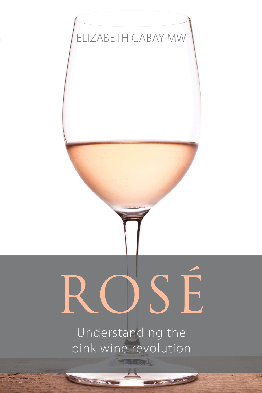

Understanding the pink wine revolution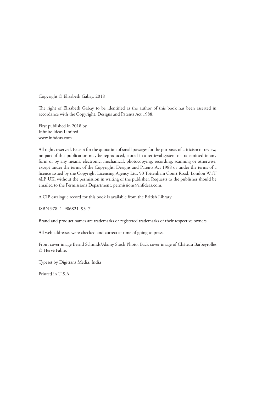Copyright © Elizabeth Gabay, 2018

The right of Elizabeth Gabay to be identified as the author of this book has been asserted in accordance with the Copyright, Designs and Patents Act 1988.

First published in 2018 by Infinite Ideas Limited www.infideas.com

All rights reserved. Except for the quotation of small passages for the purposes of criticism or review, no part of this publication may be reproduced, stored in a retrieval system or transmitted in any form or by any means, electronic, mechanical, photocopying, recording, scanning or otherwise, except under the terms of the Copyright, Designs and Patents Act 1988 or under the terms of a licence issued by the Copyright Licensing Agency Ltd, 90 Tottenham Court Road, London W1T 4LP, UK, without the permission in writing of the publisher. Requests to the publisher should be emailed to the Permissions Department, permissions@infideas.com.

A CIP catalogue record for this book is available from the British Library

ISBN 978–1–906821–93–7

Brand and product names are trademarks or registered trademarks of their respective owners.

All web addresses were checked and correct at time of going to press.

Front cover image Bernd Schmidt/Alamy Stock Photo. Back cover image of Château Barbeyrolles © Hervé Fabre.

Typeset by Digitrans Media, India

Printed in U.S.A.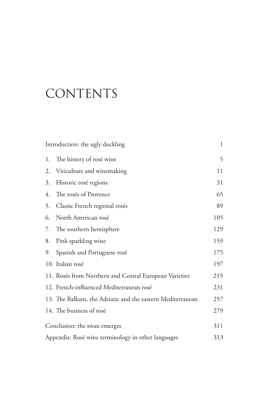# **CONTENTS**

| Introduction: the ugly duckling                    |                                                             | 1   |
|----------------------------------------------------|-------------------------------------------------------------|-----|
| 1.                                                 | The history of rosé wine                                    | 5   |
| 2.                                                 | Viticulture and winemaking                                  | 11  |
| 3.                                                 | Historic rosé regions                                       | 31  |
| 4.                                                 | The rosés of Provence                                       | 65  |
| 5.                                                 | Classic French regional rosés                               | 89  |
| 6.                                                 | North American rosé                                         | 105 |
| 7.                                                 | The southern hemisphere                                     | 129 |
| 8.                                                 | Pink sparkling wine                                         | 159 |
| 9.                                                 | Spanish and Portuguese rosé                                 | 175 |
|                                                    | 10. Italian rosé                                            | 197 |
|                                                    | 11. Rosés from Northern and Central European Varieties      | 215 |
|                                                    | 12. French-influenced Mediterranean rosé                    | 231 |
|                                                    | 13. The Balkans, the Adriatic and the eastern Mediterranean | 257 |
|                                                    | 14. The business of rosé                                    | 279 |
|                                                    | Conclusion: the swan emerges                                | 311 |
| Appendix: Rosé wine terminology in other languages |                                                             | 313 |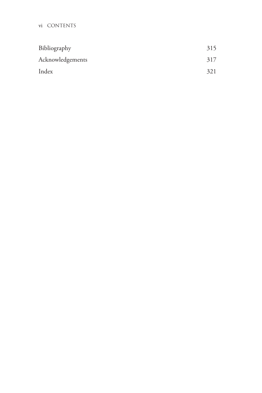| Bibliography     | 315 |
|------------------|-----|
| Acknowledgements | 317 |
| Index            | 321 |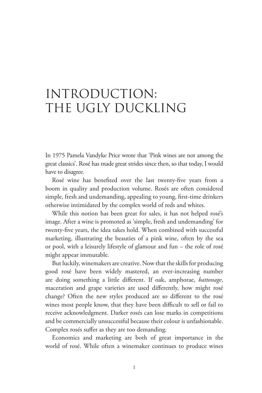# INTRODUCTION: THE UGLY DUCKLING

In 1975 Pamela Vandyke Price wrote that 'Pink wines are not among the great classics'. Rosé has made great strides since then, so that today, I would have to disagree.

Rosé wine has benefited over the last twenty-five years from a boom in quality and production volume. Rosés are often considered simple, fresh and undemanding, appealing to young, first-time drinkers otherwise intimidated by the complex world of reds and whites.

While this notion has been great for sales, it has not helped rosé's image. After a wine is promoted as 'simple, fresh and undemanding' for twenty-five years, the idea takes hold. When combined with successful marketing, illustrating the beauties of a pink wine, often by the sea or pool, with a leisurely lifestyle of glamour and fun – the role of rosé might appear immutable.

But luckily, winemakers are creative. Now that the skills for producing good rosé have been widely mastered, an ever-increasing number are doing something a little different. If oak, amphorae, *battonage*, maceration and grape varieties are used differently, how might rosé change? Often the new styles produced are so different to the rosé wines most people know, that they have been difficult to sell or fail to receive acknowledgment. Darker rosés can lose marks in competitions and be commercially unsuccessful because their colour is unfashionable. Complex rosés suffer as they are too demanding.

Economics and marketing are both of great importance in the world of rosé. While often a winemaker continues to produce wines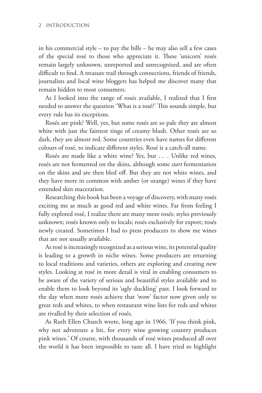#### 2 INTRODUCTION

in his commercial style – to pay the bills – he may also sell a few cases of the special rosé to those who appreciate it. These 'unicorn' rosés remain largely unknown, unreported and unrecognized, and are often difficult to find. A treasure trail through connections, friends of friends, journalists and local wine bloggers has helped me discover many that remain hidden to most consumers.

As I looked into the range of rosés available, I realized that I first needed to answer the question 'What is a rosé?' This sounds simple, but every rule has its exceptions.

Rosés are pink? Well, yes, but some rosés are so pale they are almost white with just the faintest tinge of creamy blush. Other rosés are so dark, they are almost red. Some countries even have names for different colours of rosé, to indicate different styles. Rosé is a catch-all name.

Rosés are made like a white wine? Yes, but … . Unlike red wines, rosés are not fermented on the skins, although some *start* fermentation on the skins and are then bled off. But they are not white wines, and they have more in common with amber (or orange) wines if they have extended skin maceration.

Researching this book has been a voyage of discovery, with many rosés exciting me as much as good red and white wines. Far from feeling I fully explored rosé, I realize there are many more rosés: styles previously unknown; rosés known only to locals; rosés exclusively for export; rosés newly created. Sometimes I had to press producers to show me wines that are not usually available.

As rosé is increasingly recognized as a serious wine, its potential quality is leading to a growth in niche wines. Some producers are returning to local traditions and varieties, others are exploring and creating new styles. Looking at rosé in more detail is vital in enabling consumers to be aware of the variety of serious and beautiful styles available and to enable them to look beyond its 'ugly duckling' past. I look forward to the day when more rosés achieve that 'wow' factor now given only to great reds and whites, to when restaurant wine lists for reds and whites are rivalled by their selection of rosés.

As Ruth Ellen Church wrote, long ago in 1966, 'If you think pink, why not adventure a bit, for every wine growing country produces pink wines.' Of course, with thousands of rosé wines produced all over the world it has been impossible to taste all. I have tried to highlight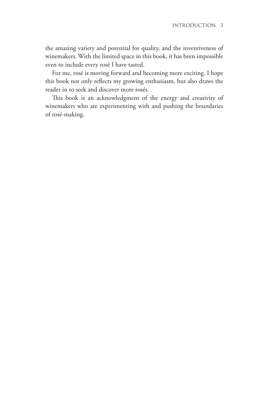the amazing variety and potential for quality, and the inventiveness of winemakers. With the limited space in this book, it has been impossible even to include every rosé I have tasted.

For me, rosé is moving forward and becoming more exciting. I hope this book not only reflects my growing enthusiasm, but also draws the reader in to seek and discover more rosés.

This book is an acknowledgment of the energy and creativity of winemakers who are experimenting with and pushing the boundaries of rosé-making.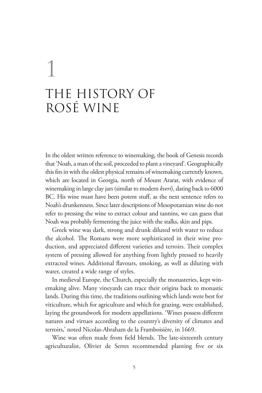# 1 THE HISTORY OF ROSÉ WINE

In the oldest written reference to winemaking, the book of Genesis records that 'Noah, a man of the soil, proceeded to plant a vineyard'. Geographically this fits in with the oldest physical remains of winemaking currently known, which are located in Georgia, north of Mount Ararat, with evidence of winemaking in large clay jars (similar to modern *kveri*), dating back to 6000 BC. His wine must have been potent stuff, as the next sentence refers to Noah's drunkenness. Since later descriptions of Mesopotamian wine do not refer to pressing the wine to extract colour and tannins, we can guess that Noah was probably fermenting the juice with the stalks, skin and pips.

Greek wine was dark, strong and drunk diluted with water to reduce the alcohol. The Romans were more sophisticated in their wine production, and appreciated different varieties and terroirs. Their complex system of pressing allowed for anything from lightly pressed to heavily extracted wines. Additional flavours, smoking, as well as diluting with water, created a wide range of styles.

In medieval Europe, the Church, especially the monasteries, kept winemaking alive. Many vineyards can trace their origins back to monastic lands. During this time, the traditions outlining which lands were best for viticulture, which for agriculture and which for grazing, were established, laying the groundwork for modern appellations. 'Wines possess different natures and virtues according to the country's diversity of climates and terroirs,' noted Nicolas-Abraham de la Framboisière, in 1669.

Wine was often made from field blends. The late-sixteenth century agriculturalist, Olivier de Serres recommended planting five or six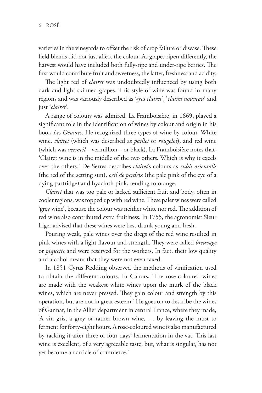varieties in the vineyards to offset the risk of crop failure or disease. These field blends did not just affect the colour. As grapes ripen differently, the harvest would have included both fully-ripe and under-ripe berries. The first would contribute fruit and sweetness, the latter, freshness and acidity.

The light red of *clairet* was undoubtedly influenced by using both dark and light-skinned grapes. This style of wine was found in many regions and was variously described as '*gros clairet*', '*clairet nouveau*' and just '*clairet*'.

A range of colours was admired. La Framboisière, in 1669, played a significant role in the identification of wines by colour and origin in his book *Les Oeuvres*. He recognized three types of wine by colour. White wine, *clairet* (which was described as *paillet* or *rougelot*), and red wine (which was *vermeil* – vermillion – or black). La Framboisière notes that, 'Clairet wine is in the middle of the two others. Which is why it excels over the others.' De Serres describes *clairet*'s colours as *rubis orientalis* (the red of the setting sun), *oeil de perdrix* (the pale pink of the eye of a dying partridge) and hyacinth pink, tending to orange.

*Clairet* that was too pale or lacked sufficient fruit and body, often in cooler regions, was topped up with red wine. These paler wines were called 'grey wine', because the colour was neither white nor red. The addition of red wine also contributed extra fruitiness. In 1755, the agronomist Sieur Liger advised that these wines were best drunk young and fresh.

Pouring weak, pale wines over the dregs of the red wine resulted in pink wines with a light flavour and strength. They were called *breuvage* or *piquette* and were reserved for the workers. In fact, their low quality and alcohol meant that they were not even taxed.

In 1851 Cyrus Redding observed the methods of vinification used to obtain the different colours. In Cahors, 'The rose-coloured wines are made with the weakest white wines upon the murk of the black wines, which are never pressed. They gain colour and strength by this operation, but are not in great esteem.' He goes on to describe the wines of Gannat, in the Allier department in central France, where they made, 'A vin gris, a grey or rather brown wine, … by leaving the must to ferment for forty-eight hours. A rose-coloured wine is also manufactured by racking it after three or four days' fermentation in the vat. This last wine is excellent, of a very agreeable taste, but, what is singular, has not yet become an article of commerce.'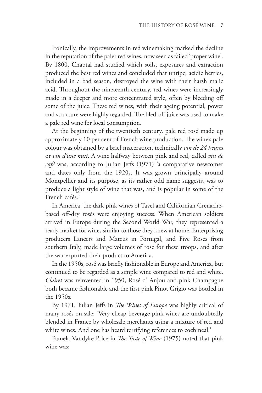Ironically, the improvements in red winemaking marked the decline in the reputation of the paler red wines, now seen as failed 'proper wine'. By 1800, Chaptal had studied which soils, exposures and extraction produced the best red wines and concluded that unripe, acidic berries, included in a bad season, destroyed the wine with their harsh malic acid. Throughout the nineteenth century, red wines were increasingly made in a deeper and more concentrated style, often by bleeding off some of the juice. These red wines, with their ageing potential, power and structure were highly regarded. The bled-off juice was used to make a pale red wine for local consumption.

At the beginning of the twentieth century, pale red rosé made up approximately 10 per cent of French wine production. The wine's pale colour was obtained by a brief maceration, technically *vin de 24 heures*  or *vin d'une nuit*. A wine halfway between pink and red, called *vin de café* was, according to Julian Jeffs (1971) 'a comparative newcomer and dates only from the 1920s. It was grown principally around Montpellier and its purpose, as its rather odd name suggests, was to produce a light style of wine that was, and is popular in some of the French cafés.'

In America, the dark pink wines of Tavel and Californian Grenachebased off-dry rosés were enjoying success. When American soldiers arrived in Europe during the Second World War, they represented a ready market for wines similar to those they knew at home. Enterprising producers Lancers and Mateus in Portugal, and Five Roses from southern Italy, made large volumes of rosé for these troops, and after the war exported their product to America.

In the 1950s, rosé was briefly fashionable in Europe and America, but continued to be regarded as a simple wine compared to red and white. *Clairet* was reinvented in 1950, Rosé d' Anjou and pink Champagne both became fashionable and the first pink Pinot Grigio was bottled in the 1950s.

By 1971, Julian Jeffs in *The Wines of Europe* was highly critical of many rosés on sale: 'Very cheap beverage pink wines are undoubtedly blended in France by wholesale merchants using a mixture of red and white wines. And one has heard terrifying references to cochineal.'

Pamela Vandyke-Price in *The Taste of Wine* (1975) noted that pink wine was: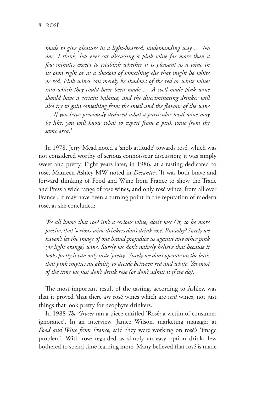*made to give pleasure in a light-hearted, undemanding way … No one, I think, has ever sat discussing a pink wine for more than a few minutes except to establish whether it is pleasant as a wine in*  its own right or as a shadow of something else that might be white *or red. Pink wines can merely be shadows of the red or white wines into which they could have been made … A well-made pink wine should have a certain balance, and the discriminating drinker will also try to gain something from the smell and the flavour of the wine … If you have previously deduced what a particular local wine may be like, you will know what to expect from a pink wine from the same area.'* 

In 1978, Jerry Mead noted a 'snob attitude' towards rosé, which was not considered worthy of serious connoisseur discussion; it was simply sweet and pretty. Eight years later, in 1986, at a tasting dedicated to rosé, Maureen Ashley MW noted in *Decanter*, 'It was both brave and forward thinking of Food and Wine from France to show the Trade and Press a wide range of rosé wines, and only rosé wines, from all over France'. It may have been a turning point in the reputation of modern rosé, as she concluded:

*We all know that rosé isn't a serious wine, don't we? Or, to be more precise, that 'serious' wine drinkers don't drink rosé. But why? Surely we haven't let the image of one brand prejudice us against any other pink (or light orange) wine. Surely we don't naively believe that because it looks pretty it can only taste 'pretty'. Surely we don't operate on the basis that pink implies an ability to decide between red and white. Yet most of the time we just don't drink rosé (or don't admit it if we do).*

The most important result of the tasting, according to Ashley, was that it proved 'that there *are* rosé wines which are *real* wines, not just things that look pretty for neophyte drinkers.'

In 1988 *The Grocer* ran a piece entitled 'Rosé: a victim of consumer ignorance'. In an interview, Janice Wilson, marketing manager at *Food and Wine from France*, said they were working on rosé's 'image problem'. With rosé regarded as simply an easy option drink, few bothered to spend time learning more. Many believed that rosé is made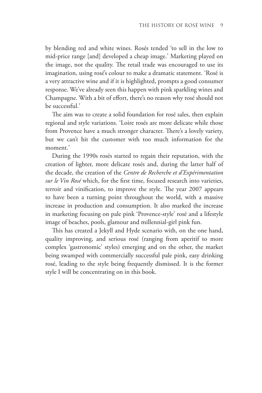by blending red and white wines. Rosés tended 'to sell in the low to mid-price range [and] developed a cheap image.' Marketing played on the image, not the quality. The retail trade was encouraged to use its imagination, using rosé's colour to make a dramatic statement. 'Rosé is a very attractive wine and if it is highlighted, prompts a good consumer response. We've already seen this happen with pink sparkling wines and Champagne. With a bit of effort, there's no reason why rosé should not be successful.'

The aim was to create a solid foundation for rosé sales, then explain regional and style variations. 'Loire rosés are more delicate while those from Provence have a much stronger character. There's a lovely variety, but we can't hit the customer with too much information for the moment.'

During the 1990s rosés started to regain their reputation, with the creation of lighter, more delicate rosés and, during the latter half of the decade, the creation of the *Centre de Recherche et d'Expérimentation sur le Vin Rosé* which, for the first time, focused research into varieties, terroir and vinification, to improve the style. The year 2007 appears to have been a turning point throughout the world, with a massive increase in production and consumption. It also marked the increase in marketing focusing on pale pink 'Provence-style' rosé and a lifestyle image of beaches, pools, glamour and millennial-girl pink fun.

This has created a Jekyll and Hyde scenario with, on the one hand, quality improving, and serious rosé (ranging from aperitif to more complex 'gastronomic' styles) emerging and on the other, the market being swamped with commercially successful pale pink, easy drinking rosé, leading to the style being frequently dismissed. It is the former style I will be concentrating on in this book.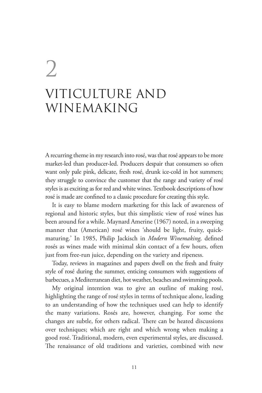# 2 VITICULTURE AND WINEMAKING

A recurring theme in my research into rosé, was that rosé appears to be more market-led than producer-led. Producers despair that consumers so often want only pale pink, delicate, fresh rosé, drunk ice-cold in hot summers; they struggle to convince the customer that the range and variety of rosé styles is as exciting as for red and white wines. Textbook descriptions of how rosé is made are confined to a classic procedure for creating this style.

It is easy to blame modern marketing for this lack of awareness of regional and historic styles, but this simplistic view of rosé wines has been around for a while. Maynard Amerine (1967) noted, in a sweeping manner that (American) rosé wines 'should be light, fruity, quickmaturing.' In 1985, Philip Jackisch in *Modern Winemaking,* defined rosés as wines made with minimal skin contact of a few hours, often just from free-run juice, depending on the variety and ripeness.

Today, reviews in magazines and papers dwell on the fresh and fruity style of rosé during the summer, enticing consumers with suggestions of barbecues, a Mediterranean diet, hot weather, beaches and swimming pools.

My original intention was to give an outline of making rosé, highlighting the range of rosé styles in terms of technique alone, leading to an understanding of how the techniques used can help to identify the many variations. Rosés are, however, changing. For some the changes are subtle, for others radical. There can be heated discussions over techniques; which are right and which wrong when making a good rosé. Traditional, modern, even experimental styles, are discussed. The renaissance of old traditions and varieties, combined with new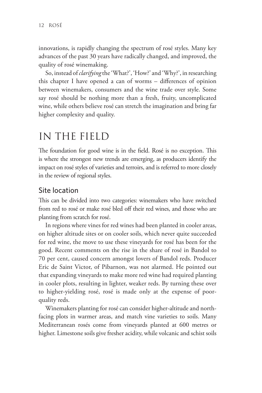innovations, is rapidly changing the spectrum of rosé styles. Many key advances of the past 30 years have radically changed, and improved, the quality of rosé winemaking.

So, instead of *clarifying* the 'What?', 'How?' and 'Why?', in researching this chapter I have opened a can of worms – differences of opinion between winemakers, consumers and the wine trade over style. Some say rosé should be nothing more than a fresh, fruity, uncomplicated wine, while others believe rosé can stretch the imagination and bring far higher complexity and quality.

# IN THE FIELD

The foundation for good wine is in the field. Rosé is no exception. This is where the strongest new trends are emerging, as producers identify the impact on rosé styles of varieties and terroirs, and is referred to more closely in the review of regional styles.

#### Site location

This can be divided into two categories: winemakers who have switched from red to rosé or make rosé bled off their red wines, and those who are planting from scratch for rosé.

In regions where vines for red wines had been planted in cooler areas, on higher altitude sites or on cooler soils, which never quite succeeded for red wine, the move to use these vineyards for rosé has been for the good. Recent comments on the rise in the share of rosé in Bandol to 70 per cent, caused concern amongst lovers of Bandol reds. Producer Eric de Saint Victor, of Pibarnon, was not alarmed. He pointed out that expanding vineyards to make more red wine had required planting in cooler plots, resulting in lighter, weaker reds. By turning these over to higher-yielding rosé, rosé is made only at the expense of poorquality reds.

Winemakers planting for rosé can consider higher-altitude and northfacing plots in warmer areas, and match vine varieties to soils. Many Mediterranean rosés come from vineyards planted at 600 metres or higher. Limestone soils give fresher acidity, while volcanic and schist soils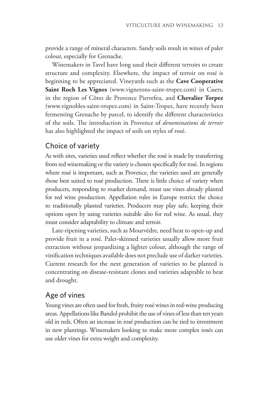provide a range of mineral characters. Sandy soils result in wines of paler colour, especially for Grenache.

Winemakers in Tavel have long used their different terroirs to create structure and complexity. Elsewhere, the impact of terroir on rosé is beginning to be appreciated. Vineyards such as the **Cave Cooperative Saint Roch Les Vignes** (www.vignerons-saint-tropez.com) in Cuers, in the region of Côtes de Provence Pierrefeu, and **Chevalier Torpez** (www.vignobles-saint-tropez.com) in Saint-Tropez, have recently been fermenting Grenache by parcel, to identify the different characteristics of the soils. The introduction in Provence of *denominations de terroir* has also highlighted the impact of soils on styles of rosé.

#### Choice of variety

As with sites, varieties used reflect whether the rosé is made by transferring from red winemaking or the variety is chosen specifically for rosé. In regions where rosé is important, such as Provence, the varieties used are generally those best suited to rosé production. There is little choice of variety when producers, responding to market demand, must use vines already planted for red wine production. Appellation rules in Europe restrict the choice to traditionally planted varieties. Producers may play safe, keeping their options open by using varieties suitable also for red wine. As usual, they must consider adaptability to climate and terroir.

Late-ripening varieties, such as Mourvèdre, need heat to open-up and provide fruit in a rosé. Paler-skinned varieties usually allow more fruit extraction without jeopardizing a lighter colour, although the range of vinification techniques available does not preclude use of darker varieties. Current research for the next generation of varieties to be planted is concentrating on disease-resistant clones and varieties adaptable to heat and drought.

#### Age of vines

Young vines are often used for fresh, fruity rosé wines in red-wine producing areas. Appellations like Bandol prohibit the use of vines of less than ten years old in reds. Often an increase in rosé production can be tied to investment in new plantings. Winemakers looking to make more complex rosés can use older vines for extra weight and complexity.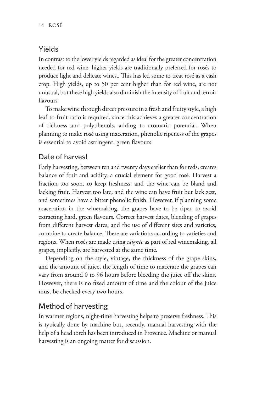### Yields

In contrast to the lower yields regarded as ideal for the greater concentration needed for red wine, higher yields are traditionally preferred for rosés to produce light and delicate wines,. This has led some to treat rosé as a cash crop. High yields, up to 50 per cent higher than for red wine, are not unusual, but these high yields also diminish the intensity of fruit and terroir flavours.

To make wine through direct pressure in a fresh and fruity style, a high leaf-to-fruit ratio is required, since this achieves a greater concentration of richness and polyphenols, adding to aromatic potential. When planning to make rosé using maceration, phenolic ripeness of the grapes is essential to avoid astringent, green flavours.

### Date of harvest

Early harvesting, between ten and twenty days earlier than for reds, creates balance of fruit and acidity, a crucial element for good rosé. Harvest a fraction too soon, to keep freshness, and the wine can be bland and lacking fruit. Harvest too late, and the wine can have fruit but lack zest, and sometimes have a bitter phenolic finish. However, if planning some maceration in the winemaking, the grapes have to be riper, to avoid extracting hard, green flavours. Correct harvest dates, blending of grapes from different harvest dates, and the use of different sites and varieties, combine to create balance. There are variations according to varieties and regions. When rosés are made using *saignée* as part of red winemaking, all grapes, implicitly, are harvested at the same time.

Depending on the style, vintage, the thickness of the grape skins, and the amount of juice, the length of time to macerate the grapes can vary from around 0 to 96 hours before bleeding the juice off the skins. However, there is no fixed amount of time and the colour of the juice must be checked every two hours.

## Method of harvesting

In warmer regions, night-time harvesting helps to preserve freshness. This is typically done by machine but, recently, manual harvesting with the help of a head torch has been introduced in Provence. Machine or manual harvesting is an ongoing matter for discussion.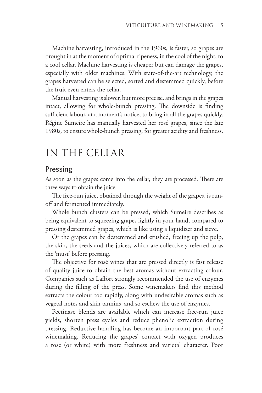Machine harvesting, introduced in the 1960s, is faster, so grapes are brought in at the moment of optimal ripeness, in the cool of the night, to a cool cellar. Machine harvesting is cheaper but can damage the grapes, especially with older machines. With state-of-the-art technology, the grapes harvested can be selected, sorted and destemmed quickly, before the fruit even enters the cellar.

Manual harvesting is slower, but more precise, and brings in the grapes intact, allowing for whole-bunch pressing. The downside is finding sufficient labour, at a moment's notice, to bring in all the grapes quickly. Régine Sumeire has manually harvested her rosé grapes, since the late 1980s, to ensure whole-bunch pressing, for greater acidity and freshness.

# IN THE CELLAR

#### Pressing

As soon as the grapes come into the cellar, they are processed. There are three ways to obtain the juice.

The free-run juice, obtained through the weight of the grapes, is runoff and fermented immediately.

Whole bunch clusters can be pressed, which Sumeire describes as being equivalent to squeezing grapes lightly in your hand, compared to pressing destemmed grapes, which is like using a liquidizer and sieve.

Or the grapes can be destemmed and crushed, freeing up the pulp, the skin, the seeds and the juices, which are collectively referred to as the 'must' before pressing.

The objective for rosé wines that are pressed directly is fast release of quality juice to obtain the best aromas without extracting colour. Companies such as Laffort strongly recommended the use of enzymes during the filling of the press. Some winemakers find this method extracts the colour too rapidly, along with undesirable aromas such as vegetal notes and skin tannins, and so eschew the use of enzymes.

Pectinase blends are available which can increase free-run juice yields, shorten press cycles and reduce phenolic extraction during pressing. Reductive handling has become an important part of rosé winemaking. Reducing the grapes' contact with oxygen produces a rosé (or white) with more freshness and varietal character. Poor